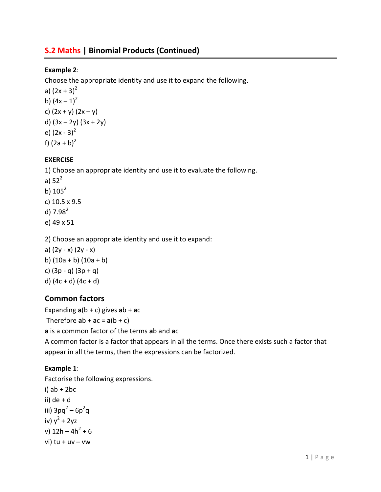# S.2 Maths | Binomial Products (Continued)

### Example 2:

Choose the appropriate identity and use it to expand the following.

a)  $(2x + 3)^2$ b)  $(4x - 1)^2$ c)  $(2x + y) (2x - y)$ d)  $(3x - 2y) (3x + 2y)$ e)  $(2x - 3)^2$ f)  $(2a + b)^2$ 

## EXERCISE

1) Choose an appropriate identity and use it to evaluate the following. a)  $52^2$ b)  $105^2$ c) 10.5 x 9.5 d)  $7.98^2$ e) 49 x 51

2) Choose an appropriate identity and use it to expand:

a) (2y - x) (2y - x) b) (10a + b) (10a + b) c)  $(3p - q) (3p + q)$ d)  $(4c + d) (4c + d)$ 

## Common factors

Expanding  $a(b + c)$  gives  $ab + ac$ 

Therefore  $ab + ac = a(b + c)$ 

a is a common factor of the terms ab and ac

A common factor is a factor that appears in all the terms. Once there exists such a factor that appear in all the terms, then the expressions can be factorized.

#### Example 1:

Factorise the following expressions. i)  $ab + 2bc$ ii) de + d iii)  $3pq^2 - 6p^2q$ iv)  $y^2 + 2yz$ v)  $12h - 4h^2 + 6$  $vi)$  tu + uv – vw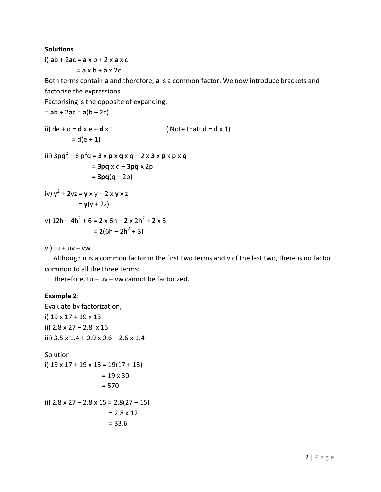#### **Solutions**

i) ab  $+ 2ac = a \times b + 2 \times a \times c$  $= a \times b + a \times 2c$ 

Both terms contain a and therefore, a is a common factor. We now introduce brackets and factorise the expressions.

Factorising is the opposite of expanding.

 $=$  ab + 2ac = a(b + 2c)

ii) de + d = **d** x e + **d** x 1 ( Note that: d = d x 1)  $= d(e + 1)$ 

iii) 
$$
3pq^2 - 6p^2q = 3 \times p \times q \times q - 2 \times 3 \times p \times p \times q
$$
  
=  $3pq \times q - 3pq \times 2p$   
=  $3pq(q-2p)$ 

iv) 
$$
y^2 + 2yz = y \times y + 2 \times y \times z
$$
  
=  $y(y + 2z)$ 

v) 
$$
12h - 4h^2 + 6 = 2 \times 6h - 2 \times 2h^2 + 2 \times 3
$$
  
=  $2(6h - 2h^2 + 3)$ 

vi) tu +  $uv - vw$ 

 Although u is a common factor in the first two terms and v of the last two, there is no factor common to all the three terms:

Therefore,  $tu + uv - vw$  cannot be factorized.

#### Example 2:

Evaluate by factorization, i) 19 x 17 + 19 x 13 ii) 2.8 x 27 – 2.8 x 15 iii) 3.5 x 1.4 + 0.9 x 0.6 – 2.6 x 1.4

Solution  
\ni) 
$$
19 \times 17 + 19 \times 13 = 19(17 + 13)
$$
  
\n $= 19 \times 30$   
\n $= 570$   
\nii)  $2.8 \times 27 - 2.8 \times 15 = 2.8(27 - 15)$   
\n $= 2.8 \times 12$   
\n $= 33.6$